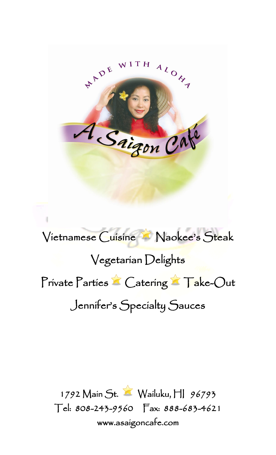

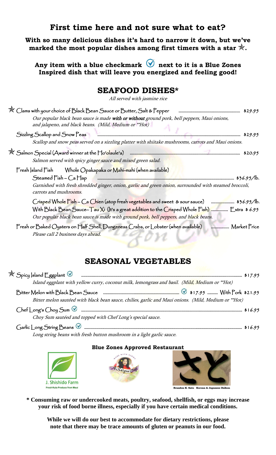#### **First time here and not sure what to eat?**

**With so many delicious dishes it's hard to narrow it down, but we've marked the most popular dishes among first timers with a star .**

Any item with a blue checkmark  $\heartsuit$  next to it is a Blue Zones **Inspired dish that will leave you energized and feeling good!**

### **SEAFOOD DISHES\***

All served with jasmine rice

| $\mathbb X$ Clams with your choice of Black Bean Sauce or Butter, Salt & Pepper<br>\$29.95<br>Our popular black bean sauce is made with or without ground pork, bell peppers, Maui onions,<br>and jalapeno, and black beans. (Mild, Medium or **Hot)                                      |
|-------------------------------------------------------------------------------------------------------------------------------------------------------------------------------------------------------------------------------------------------------------------------------------------|
| Sizzling Scallop and Snow Peas<br>\$29.95<br>Scallop and snow peas served on a sizzling platter with shiitake mushrooms, carrots and Maui onions.                                                                                                                                         |
| 水 Salmon Special (Award winner at the Ho' <mark>olaule</mark> 'a)<br>\$20.95<br>Salmon served with spicy ginger sauce and mixed green salad.                                                                                                                                              |
| Fresh Saland Fish Whole Opakapaka or Mahi-mahi (when available)<br>Steamed $Fish - Ca Hap$<br>\$36.95/b.<br>Garnished with fresh shredded ginger, onion, garlic and green onion, surrounded with steamed broccoli,<br>carrots and mushrooms.                                              |
| Crisped Whole Fish - Ca Chien (atop fresh vegetables and sweet & sour sauce) manument \$36.95/b.<br>With Black Bean Sauce-Tau Xi (It's a great addition to the Crisped Whole Fish)  Extra \$6.95<br>Our popular black bean sauce is made with ground pork, bell peppers, and black beans. |
| Fresh or Baked Oysters on Half Shell, Dungeness Crabs, or Lobster (when available) <b>Accumination</b> Market Price<br>Please call 2 business days ahead.                                                                                                                                 |

## **SEASONAL VEGETABLES**

| Island eggplant with yellow curry, coconut milk, lemongrass and basil. (Mild, Medium or **Hot)       |  |
|------------------------------------------------------------------------------------------------------|--|
|                                                                                                      |  |
| Bitter melon sautéed with black bean sauce, chilies, garlic and Maui onions. (Mild, Medium or **Hot) |  |
|                                                                                                      |  |
| Choy Sum sautéed and topped with Chef Long's special sauce.                                          |  |
|                                                                                                      |  |

Long string beans with fresh button mushroom in a light garlic sauce.

#### **Blue Zones Approved Restaurant**



**\* Consuming raw or undercooked meats, poultry, seafood, shellfish, or eggs may increase your risk of food borne illness, especially if you have certain medical conditions.**

**While we will do our best to accommodate for dietary restrictions, please note that there may be trace amounts of gluten or peanuts in our food.**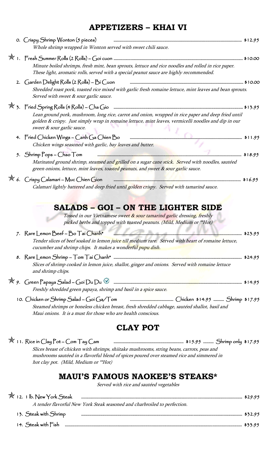## **APPETIZERS – KHAI VI**

|  | 0. Crispy Shrimp Wonton (5 pieces)                                                                                                                                                                                                        |         |
|--|-------------------------------------------------------------------------------------------------------------------------------------------------------------------------------------------------------------------------------------------|---------|
|  | Whole shrimp wrapped in Wonton served with sweet chili sauce.                                                                                                                                                                             |         |
|  |                                                                                                                                                                                                                                           |         |
|  | Minute boiled shrimps, fresh mint, bean sprouts, lettuce and rice noodles and rolled in rice paper.<br>These light, aromatic rolls, served with a special peanut sauce are highly recommended.                                            |         |
|  | 2. Garden Delight Rolls (2 Rolls) - Bi Cuon                                                                                                                                                                                               |         |
|  | Shredded roast pork, toasted rice mixed with garlic fresh romaine lettuce, mint leaves and bean sprouts.<br>Served with sweet & sour garlic sauce.                                                                                        |         |
|  |                                                                                                                                                                                                                                           |         |
|  | Lean ground pork, mushroom, long rice, carrot and onion, wrapped in rice paper and deep fried until<br>golden & crispy. Just simply wrap in romaine lettuce, mint leaves, vermicelli noodles and dip in our<br>sweet & sour garlic sauce. |         |
|  | 4. Fried Chicken Wings - Canh Ga Chien Bo                                                                                                                                                                                                 |         |
|  | Chicken wings seasoned with garlic, bay leaves and butter.                                                                                                                                                                                |         |
|  | 5. Shrimp $Pops - Chao Tom$                                                                                                                                                                                                               | \$18.95 |
|  | Marinated ground shrimp, steamed and grilled on a sugar cane stick. Served with noodles, sautéed<br>green onions, lettuce, mint leaves, toasted peanuts, and sweet & sour garlic sauce.                                                   |         |
|  | $\mathbb X$ 6. Crispy Calamari – Muc Chien Gion                                                                                                                                                                                           |         |
|  | Calamari lightly battered and deep fried until golden crispy. Served with tamarind sauce.                                                                                                                                                 |         |
|  | SALADS - GOI - ON THE LIGHTER SIDE                                                                                                                                                                                                        |         |
|  | Tossed in our Vietnamese sweet & sour tamarind garlic dressing, freshly<br>picked herbs and topped with toasted peanuts. (Mild, Medium or **Hot)                                                                                          |         |
|  | 7. Rare Lemon Beef - Bo Tai Chanh*                                                                                                                                                                                                        |         |
|  | Tender slices of beef soaked in lemon juice till medium rare. Served with heart of romaine lettuce,<br>cucumber and shrimp chips. It makes a wonderful pupu dish.                                                                         |         |
|  |                                                                                                                                                                                                                                           |         |
|  | Slices of shrimp cooked in lemon juice, shallot, ginger and onions. Served with romaine lettuce<br>and shrimp chips.                                                                                                                      |         |
|  |                                                                                                                                                                                                                                           |         |
|  | Freshly shredded green papaya, shrimp and basil in a spice sauce.                                                                                                                                                                         |         |
|  |                                                                                                                                                                                                                                           |         |
|  | Steamed shrimps or boneless chicken breast, fresh shredded cabbage, sautéed shallot, basil and<br>Maui onions. It is a must for those who are health conscious.                                                                           |         |

## **CLAY POT**

## 11. Rice in Clay Pot – Com Tay Cam ………..........…………………………………..…… \$15.95 ………. Shrimp only \$17.95

Slices breast of chicken with shrimps, shiitake mushrooms, string beans, carrots, peas and mushrooms sautéed in a flavorful blend of spices poured over steamed rice and simmered in hot clay pot. (Mild, Medium or \*\*Hot)

## **MAUI'S FAMOUS NAOKEE'S STEAKS\***

Served with rice and sautéed vegetables

| $\mathcal{K}$ 12. 1 lb. New York Steak    |                                                                           |  |
|-------------------------------------------|---------------------------------------------------------------------------|--|
|                                           | A tender flavorful New York Steak seasoned and charbroiled to perfection. |  |
| 13. Steak with Shrimp                     |                                                                           |  |
| 14. $\mathsf{Steak}$ with $\mathsf{Fish}$ |                                                                           |  |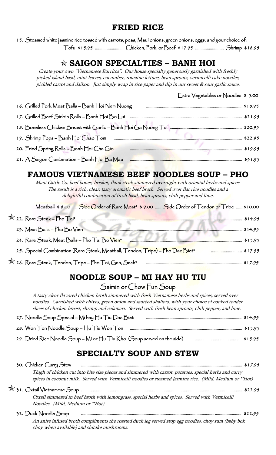### **FRIED RICE**

15. Steamed white jasmine rice tossed with carrots, peas, Maui onions, green onions, eggs, and your choice of: Tofu \$15.95 ……….…………….. Chicken, Pork, or Beef \$17.95 …..…..…………….. Shrimp \$18.95

### **SAIGON SPECIALTIES – BANH HOI**

Create your own "Vietnamese Burritos". Our house specialty generously garnished with freshly picked island basil, mint leaves, cucumber, romaine lettuce, bean sprouts, vermicelli cake noodles, pickled carrot and daikon. Just simply wrap in rice paper and dip in our sweet & sour garlic sauce.

|                                                  | $\mathbb{R}$ xtra Vegetables or Noodles \$ 5.00 |
|--------------------------------------------------|-------------------------------------------------|
| 16. Grilled Pork Meat Balls - Banh Hoi Nem Nuong |                                                 |
| 17. Grilled Beef Sirloin Rolls – Banh Hoi Bo Lui |                                                 |
|                                                  |                                                 |
|                                                  |                                                 |
| 20. Fried Spring Rolls – Banh Hoi Cha Gio        |                                                 |
| 21. A Saigon Combination – Banh Hoi Ba Mau       | 531.95                                          |

## **FAMOUS VIETNAMESE BEEF NOODLES SOUP – PHO**

Maui Cattle Co. beef bones, brisket, flank steak simmered overnight with oriental herbs and spices. The result is a rich, clear, tasty aromatic beef broth. Served over flat rice noodles and a delightful combination of fresh basil, bean sprouts, chili pepper and lime.

|         | Meatball \$8.00  Side Order of Rare Meat* \$9.00  Side Order of Tendon or Tripe  \$10.00 |
|---------|------------------------------------------------------------------------------------------|
| \$14.95 | X 22. Rare Steak - Pho Tai*                                                              |
| \$14.95 | 23. Meat Balls - Pho Bo Vien                                                             |
| \$15.95 | 24. Rare Steak, Meat Balls - Pho Tai Bo Vien*                                            |
|         | 25. Special Combination (Rare Steak, Meatball, Tendon, Tripe) - Pho Dac Biet*            |
|         | X 26. Rare Steak, Tendon, Tripe - Pho Tai, Gan, Sach*                                    |

## **NOODLE SOUP – MI HAY HU TIU**

Saimin or Chow Fun Soup

A tasty clear flavored chicken broth simmered with fresh Vietnamese herbs and spices, served over noodles. Garnished with chives, green onion and sautéed shallots, with your choice of cooked tender slices of chicken breast, shrimp and calamari. Served with fresh bean sprouts, chili pepper, and lime.

| 27. Noodle Soup Special – Mi hay Hu Tiu Dac Biet                        |  |
|-------------------------------------------------------------------------|--|
| 28. Won Ton Noodle Soup – Hu Tíu Won Ton                                |  |
| 29. Dried Rice Noodle Soup – Mi or Hu Tiu Kho (Soup served on the side) |  |

# **SPECIALTY SOUP AND STEW**

| 30. Chicken Curry Stew                                                                                                                                                                                            |  |
|-------------------------------------------------------------------------------------------------------------------------------------------------------------------------------------------------------------------|--|
| Thigh of chicken cut into bite size pieces and simmered with carrot, potatoes, special herbs and curry<br>spices in coconut milk. Served with Vermicelli noodles or steamed Jasmine rice. (Mild, Medium or **Hot) |  |
|                                                                                                                                                                                                                   |  |
| Oxtail simmered in beef broth with lemongrass, special herbs and spices. Served with Vermicelli<br>Noodles. (Mild, Medium or **Hot)                                                                               |  |
| 32. Duck Noodle Soup                                                                                                                                                                                              |  |
| An anise infused broth compliments the roasted duck leg served atop egg noodles, choy sum (baby bok                                                                                                               |  |

choy when available) and shitake mushrooms.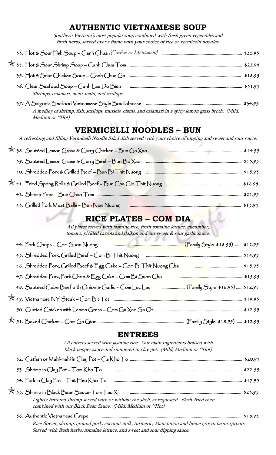### **AUTHENTIC VIETNAMESE SOUP**

Southern Vietnam's most popular soup combined with fresh green vegetables and fresh herbs, served over a flame with your choice of rice or vermicelli noodles.

| 36. Clear Seafood Soup – Canh Lau Do Bien<br>Shrimps, calamari, mahi-mahi, and scallops.                                  |
|---------------------------------------------------------------------------------------------------------------------------|
| A medley of shrimp, fish, scallops, mussels, clams, and calamari in a spicy lemon grass broth. (Mild,<br>Medium or **Hot) |
| <b>VERMICELLI NOODLES - BUN</b>                                                                                           |
| A refreshing and filling Vermicelli Noodle Salad dish served with your choice of topping and sweet and sour sauce.        |
| X 38. Sautéed Lemon Grass & Curry Chicken - Bun Ga Xao<br><b>14.95</b>                                                    |
|                                                                                                                           |
|                                                                                                                           |

|  | X 41. Fried Spring Rolls & Grilled Beef - Bun Cha Gio Thit Nuong |  |
|--|------------------------------------------------------------------|--|
|  |                                                                  |  |

43. Grilled Pork Meat Balls – Bun Nem Nuong …………………….……………….....………........................…………….…..… \$15.95

## **RICE PLATES – COM DIA**

All plates served with jasmine rice, fresh romaine lettuce, cucumber, tomato, pickled carrots and daikon and our sweet & sour garlic sauce.

| 44. Pork Chops – Com Suon Nuong                                                                    |
|----------------------------------------------------------------------------------------------------|
| 45. Shredded Pork, Grilled Beef - Com Bi Thit Nuong                                                |
| 46. Shredded Pork, Grilled Beef & Egg Cake ~ Com Bi Thit Nuong Cha                                 |
| 47. Shredded Pork, Pork Chop & Egg Cake - Com Bi Suon Cha                                          |
| 48. Sautéed Cube Beef with Onion & Garlic - Com Luc Lac Famillanes (Family Style \$18.95)  \$12.95 |
|                                                                                                    |
| 50. Curried Chicken with Lemon Grass ~ Com Ga Xao Sa Ot                                            |
|                                                                                                    |

#### **ENTREES**

All entrees served with jasmine rice. Our main ingredients braised with black pepper sauce and simmered in clay pot. (Mild, Medium or \*\*Hot)

| 53. Shrimp in Clay $Pot$ – $Tom$ Kho $To$                                                |  |
|------------------------------------------------------------------------------------------|--|
| 54. Pork in Clay Pot – Thit Heo Kho To                                                   |  |
| $\stackrel{\bigstar}{\propto}$ 55. Shrimp in Black Bean Sauce-Tom Tau Xi                 |  |
| Lightly battered shrimp served with or without the shell, as requested. Flash-fried then |  |
| combined with our Black Bean Sauce. (Mild, Medium or **Hot)                              |  |

56. Authentic Vietnamese Crepe ………………………………………………………………….............................………………………..… \$18.95

M

 Rice flower, shrimp, ground pork, coconut milk, turmeric, Maui onion and home grown beans sprouts. Served with fresh herbs, romaine lettuce, and sweet and sour dipping sauce.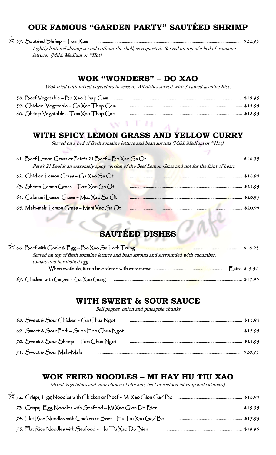## **OUR FAMOUS "GARDEN PARTY" SAUTÉED SHRIMP**

57. Sautéed Shrimp – Tom Ram …………………..……………………………………............................................…..…………………. \$22.95

 Lightly battered shrimp served without the shell, as requested. Served on top of a bed of romaine lettuce. (Mild, Medium or \*\*Hot)

| Wok fried with mixed vegetables in season. All dishes served with Steamed Jasmine Rice.                                                                                                                                                                                                        |  |
|------------------------------------------------------------------------------------------------------------------------------------------------------------------------------------------------------------------------------------------------------------------------------------------------|--|
| 59. Chicken Vegetable - Ga Xao Thap Cam and and an an an announcement and \$15.95<br>60. Shrimp Vegetable – Tom Xao Thap Cam                                                                                                                                                                   |  |
|                                                                                                                                                                                                                                                                                                |  |
| WITH SPICY LEMON GRASS AND YELLOW CURRY<br>Served on a bed of fresh romaine lettuce and bean sprouts (Mild, Medium or **Hot).<br>61. Beef Lemon Grass or Pete's 21 Beef - Bo Xao Sa Ot<br>Pete's 21 Beef is an extremely spicy version of the Beef Lemon Grass and not for the faint of heart. |  |
| 62. Chicken Lemon Grass - Ga Xao Sa Ot<br>\$16.95                                                                                                                                                                                                                                              |  |
| 63. Shrimp Lemon Grass $-$ Tom $\chi$ ao Sa Ot                                                                                                                                                                                                                                                 |  |
| 64. Calamarí Lemon Grass - Muc Xao Sa Ot                                                                                                                                                                                                                                                       |  |
| 65. Mahi-mahi Lemon Grass - Mahi Xao Sa Ot<br><b>SAUTÉED DISHES</b>                                                                                                                                                                                                                            |  |
| X 66. Beef with Garlic & Egg – Bo Xao Sa Lach Trung                                                                                                                                                                                                                                            |  |
| Served on top of fresh romaine lettuce and bean sprouts and surrounded with cucumber,<br>tomato and hardboiled egg.                                                                                                                                                                            |  |
| 67. Chicken with Ginger – Ga Xao Gung                                                                                                                                                                                                                                                          |  |

#### **WITH SWEET & SOUR SAUCE**

Bell pepper, onion and pineapple chunks

| 68. Sweet & Sour Chicken – Ga Chua Ngot    |  |
|--------------------------------------------|--|
| 69. Sweet & Sour Pork – Suon Heo Chua Ngot |  |
| 70. Sweet & Sour Shrimp – Tom Chua Ngot    |  |
| 71. Sweet & Sour Mahí-Mahí                 |  |

#### **WOK FRIED NOODLES – MI HAY HU TIU XAO**

Mixed Vegetables and your choice of chicken, beef or seafood (shrimp and calamari).

| $\overrightarrow{X}$ 72. Crispy Egg Noodles with Chicken or Beef - Mi Xao Gion Ga/Bo |  |
|--------------------------------------------------------------------------------------|--|
|                                                                                      |  |
| 74. Flat Rice Noodles with Chicken or Beef ~ Hu Tiu Xao Ga/Bo                        |  |
| 75. Flat Rice Noodles with Seafood – $\mathbb{H}$ u Tiu Xao Do Bien                  |  |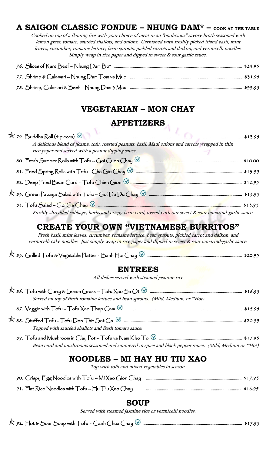## **A SAIGON CLASSIC FONDUE – NHUNG DAM\* – COOK AT THE TABLE**

Cooked on top of a flaming fire with your choice of meat in an "onolicious" savory broth seasoned with lemon grass, tomato, sautéed shallots, and onions. Garnished with freshly picked island basil, mint leaves, cucumber, romaine lettuce, bean sprouts, pickled carrots and daikon, and vermicelli noodles. Simply wrap in rice paper and dipped in sweet & sour garlic sauce.

#### **VEGETARIAN – MON CHAY**

### **APPETIZERS**

| A delicious blend of jicama, tofu, roasted peanuts, basil, Maui onions and carrots wrapped in thin<br>rice paper and served with a peanut dipping sauce. |  |
|----------------------------------------------------------------------------------------------------------------------------------------------------------|--|
| 80. Fresh Summer Rolls with $\Gamma$ ofu – Goi Cuon Chay $\circledcirc$                                                                                  |  |
|                                                                                                                                                          |  |
|                                                                                                                                                          |  |
|                                                                                                                                                          |  |
|                                                                                                                                                          |  |

Freshly shredded cabbage, herbs and crispy bean curd, tossed with our sweet & sour tamarind-garlic sauce.

## **CREATE YOUR OWN "VIETNAMESE BURRITOS"**

Fresh basil, mint leaves, cucumber, romaine lettuce, bean sprouts, pickled carrot and daikon, and vermicelli cake noodles. Just simply wrap in rice paper and dipped in sweet & sour tamarind-garlic sauce.

|  |  |  | $\mathbb{\mathbb{X}}$ 85. Grilled Tofu & Vegetable Platter – Banh Hoi Chay $\mathbb{\mathbb{V}}$ |  |  |  | \$20.95 |
|--|--|--|--------------------------------------------------------------------------------------------------|--|--|--|---------|
|--|--|--|--------------------------------------------------------------------------------------------------|--|--|--|---------|

#### **ENTREES**

All dishes served with steamed jasmine rice

| Served on top of fresh romaine lettuce and bean sprouts. (Mild, Medium, or **Hot) |  |
|-----------------------------------------------------------------------------------|--|
|                                                                                   |  |
|                                                                                   |  |
| Topped with sautéed shallots and fresh tomato sauce.                              |  |

| Bean curd and mushrooms seasoned and simmered in spice and black pepper sauce. (Mild, Medium or **Hot) |  |
|--------------------------------------------------------------------------------------------------------|--|

## **NOODLES – MI HAY HU TIU XAO**

Top with tofu and mixed vegetables in season.

| 90. Crispy Egg Noodles with Tofu - Mi Xao Gion Chay manufacture manufacture was \$17.95 |  |
|-----------------------------------------------------------------------------------------|--|
| 91. Flat Rice Noodles with $\top$ ofu – Hu $\top$ iu Xao Chay                           |  |

#### **SOUP**

Served with steamed jasmine rice or vermicelli noodles.

92. Hot & Sour Soup with Tofu – Canh Chua Chay …………………………....……………………................…………….... \$17.95